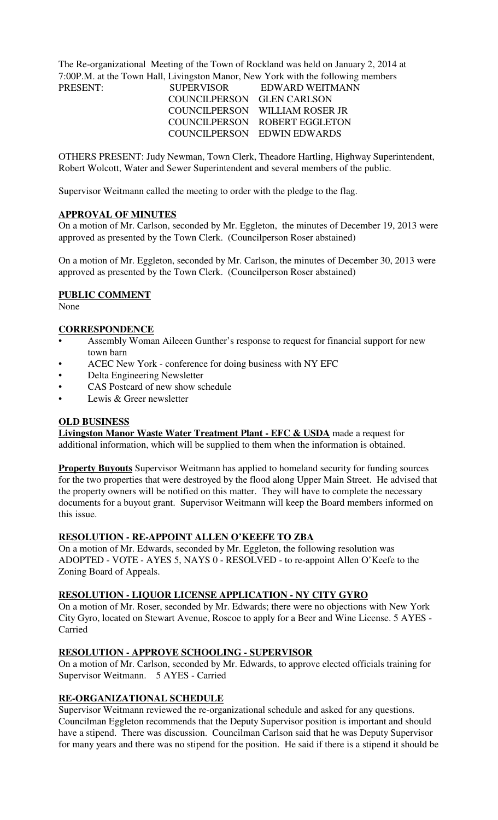The Re-organizational Meeting of the Town of Rockland was held on January 2, 2014 at 7:00P.M. at the Town Hall, Livingston Manor, New York with the following members

| PRESENT: | <b>SUPERVISOR</b>          | EDWARD WEITMANN                |
|----------|----------------------------|--------------------------------|
|          | COUNCILPERSON GLEN CARLSON |                                |
|          |                            | COUNCILPERSON WILLIAM ROSER JR |
|          |                            | COUNCILPERSON ROBERT EGGLETON  |
|          |                            | COUNCILPERSON EDWIN EDWARDS    |

OTHERS PRESENT: Judy Newman, Town Clerk, Theadore Hartling, Highway Superintendent, Robert Wolcott, Water and Sewer Superintendent and several members of the public.

Supervisor Weitmann called the meeting to order with the pledge to the flag.

#### **APPROVAL OF MINUTES**

On a motion of Mr. Carlson, seconded by Mr. Eggleton, the minutes of December 19, 2013 were approved as presented by the Town Clerk. (Councilperson Roser abstained)

On a motion of Mr. Eggleton, seconded by Mr. Carlson, the minutes of December 30, 2013 were approved as presented by the Town Clerk. (Councilperson Roser abstained)

### **PUBLIC COMMENT**

None

#### **CORRESPONDENCE**

- Assembly Woman Aileeen Gunther's response to request for financial support for new town barn
- ACEC New York conference for doing business with NY EFC
- Delta Engineering Newsletter
- CAS Postcard of new show schedule
- Lewis & Greer newsletter

### **OLD BUSINESS**

**Livingston Manor Waste Water Treatment Plant - EFC & USDA** made a request for additional information, which will be supplied to them when the information is obtained.

**Property Buyouts** Supervisor Weitmann has applied to homeland security for funding sources for the two properties that were destroyed by the flood along Upper Main Street. He advised that the property owners will be notified on this matter. They will have to complete the necessary documents for a buyout grant. Supervisor Weitmann will keep the Board members informed on this issue.

### **RESOLUTION - RE-APPOINT ALLEN O'KEEFE TO ZBA**

On a motion of Mr. Edwards, seconded by Mr. Eggleton, the following resolution was ADOPTED - VOTE - AYES 5, NAYS 0 - RESOLVED - to re-appoint Allen O'Keefe to the Zoning Board of Appeals.

### **RESOLUTION - LIQUOR LICENSE APPLICATION - NY CITY GYRO**

On a motion of Mr. Roser, seconded by Mr. Edwards; there were no objections with New York City Gyro, located on Stewart Avenue, Roscoe to apply for a Beer and Wine License. 5 AYES - Carried

### **RESOLUTION - APPROVE SCHOOLING - SUPERVISOR**

On a motion of Mr. Carlson, seconded by Mr. Edwards, to approve elected officials training for Supervisor Weitmann. 5 AYES - Carried

#### **RE-ORGANIZATIONAL SCHEDULE**

Supervisor Weitmann reviewed the re-organizational schedule and asked for any questions. Councilman Eggleton recommends that the Deputy Supervisor position is important and should have a stipend. There was discussion. Councilman Carlson said that he was Deputy Supervisor for many years and there was no stipend for the position. He said if there is a stipend it should be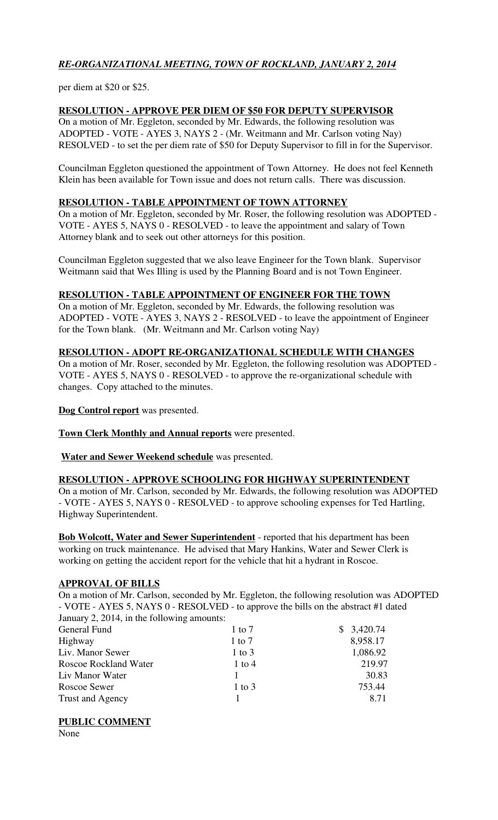# *RE-ORGANIZATIONAL MEETING, TOWN OF ROCKLAND, JANUARY 2, 2014*

per diem at \$20 or \$25.

## **RESOLUTION - APPROVE PER DIEM OF \$50 FOR DEPUTY SUPERVISOR**

On a motion of Mr. Eggleton, seconded by Mr. Edwards, the following resolution was ADOPTED - VOTE - AYES 3, NAYS 2 - (Mr. Weitmann and Mr. Carlson voting Nay) RESOLVED - to set the per diem rate of \$50 for Deputy Supervisor to fill in for the Supervisor.

Councilman Eggleton questioned the appointment of Town Attorney. He does not feel Kenneth Klein has been available for Town issue and does not return calls. There was discussion.

### **RESOLUTION - TABLE APPOINTMENT OF TOWN ATTORNEY**

On a motion of Mr. Eggleton, seconded by Mr. Roser, the following resolution was ADOPTED - VOTE - AYES 5, NAYS 0 - RESOLVED - to leave the appointment and salary of Town Attorney blank and to seek out other attorneys for this position.

Councilman Eggleton suggested that we also leave Engineer for the Town blank. Supervisor Weitmann said that Wes Illing is used by the Planning Board and is not Town Engineer.

### **RESOLUTION - TABLE APPOINTMENT OF ENGINEER FOR THE TOWN**

On a motion of Mr. Eggleton, seconded by Mr. Edwards, the following resolution was ADOPTED - VOTE - AYES 3, NAYS 2 - RESOLVED - to leave the appointment of Engineer for the Town blank. (Mr. Weitmann and Mr. Carlson voting Nay)

### **RESOLUTION - ADOPT RE-ORGANIZATIONAL SCHEDULE WITH CHANGES**

On a motion of Mr. Roser, seconded by Mr. Eggleton, the following resolution was ADOPTED - VOTE - AYES 5, NAYS 0 - RESOLVED - to approve the re-organizational schedule with changes. Copy attached to the minutes.

**Dog Control report** was presented.

**Town Clerk Monthly and Annual reports** were presented.

**Water and Sewer Weekend schedule** was presented.

## **RESOLUTION - APPROVE SCHOOLING FOR HIGHWAY SUPERINTENDENT**

On a motion of Mr. Carlson, seconded by Mr. Edwards, the following resolution was ADOPTED - VOTE - AYES 5, NAYS 0 - RESOLVED - to approve schooling expenses for Ted Hartling, Highway Superintendent.

**Bob Wolcott, Water and Sewer Superintendent** - reported that his department has been working on truck maintenance. He advised that Mary Hankins, Water and Sewer Clerk is working on getting the accident report for the vehicle that hit a hydrant in Roscoe.

## **APPROVAL OF BILLS**

On a motion of Mr. Carlson, seconded by Mr. Eggleton, the following resolution was ADOPTED - VOTE - AYES 5, NAYS 0 - RESOLVED - to approve the bills on the abstract #1 dated January 2, 2014, in the following amounts:

| $1$ to $7$ | \$3,420.74 |
|------------|------------|
| $1$ to $7$ | 8,958.17   |
| $1$ to $3$ | 1,086.92   |
| $1$ to $4$ | 219.97     |
|            | 30.83      |
| $1$ to $3$ | 753.44     |
|            | 8.71       |
|            |            |

**PUBLIC COMMENT**

None